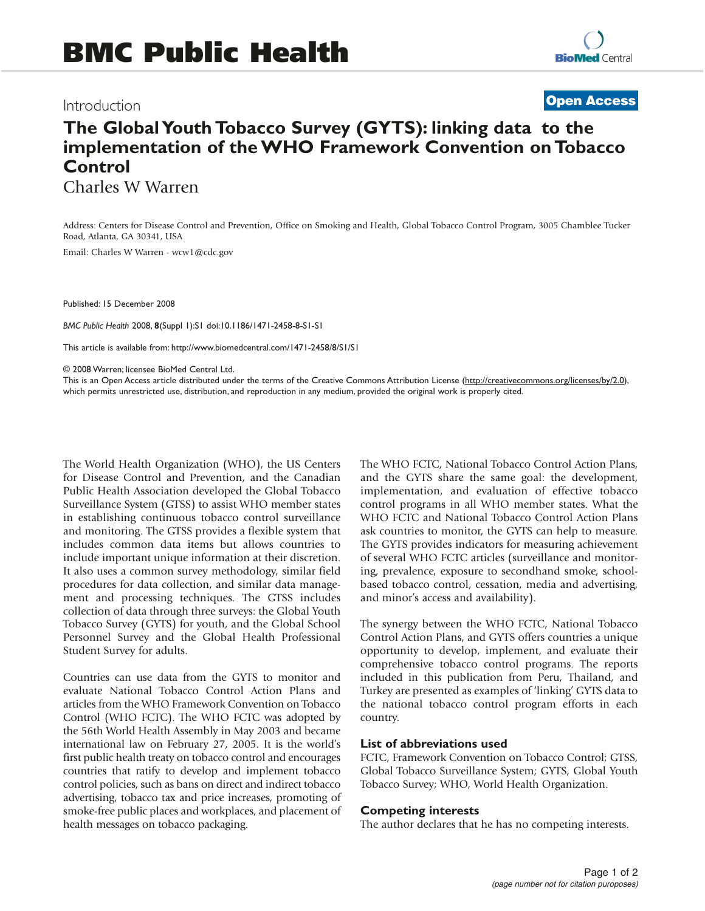## **Open Access**

# **The Global Youth Tobacco Survey (GYTS): linking data to the implementation of the WHO Framework Convention on Tobacco Control**

Charles W Warren

Address: Centers for Disease Control and Prevention, Office on Smoking and Health, Global Tobacco Control Program, 3005 Chamblee Tucker Road, Atlanta, GA 30341, USA

Email: Charles W Warren - wcw1@cdc.gov

Published: 15 December 2008

*BMC Public Health* 2008, **8**(Suppl 1):S1 doi:10.1186/1471-2458-8-S1-S1

This article is available from: http://www.biomedcentral.com/1471-2458/8/S1/S1

© 2008 Warren; licensee BioMed Central Ltd.

This is an Open Access article distributed under the terms of the Creative Commons Attribution License (http://creativecommons.org/licenses/by/2.0), which permits unrestricted use, distribution, and reproduction in any medium, provided the original work is properly cited.

The World Health Organization (WHO), the US Centers for Disease Control and Prevention, and the Canadian Public Health Association developed the Global Tobacco Surveillance System (GTSS) to assist WHO member states in establishing continuous tobacco control surveillance and monitoring. The GTSS provides a flexible system that includes common data items but allows countries to include important unique information at their discretion. It also uses a common survey methodology, similar field procedures for data collection, and similar data management and processing techniques. The GTSS includes collection of data through three surveys: the Global Youth Tobacco Survey (GYTS) for youth, and the Global School Personnel Survey and the Global Health Professional Student Survey for adults.

Countries can use data from the GYTS to monitor and evaluate National Tobacco Control Action Plans and articles from the WHO Framework Convention on Tobacco Control (WHO FCTC). The WHO FCTC was adopted by the 56th World Health Assembly in May 2003 and became international law on February 27, 2005. It is the world's first public health treaty on tobacco control and encourages countries that ratify to develop and implement tobacco control policies, such as bans on direct and indirect tobacco advertising, tobacco tax and price increases, promoting of smoke-free public places and workplaces, and placement of health messages on tobacco packaging.

The WHO FCTC, National Tobacco Control Action Plans, and the GYTS share the same goal: the development, implementation, and evaluation of effective tobacco control programs in all WHO member states. What the WHO FCTC and National Tobacco Control Action Plans ask countries to monitor, the GYTS can help to measure. The GYTS provides indicators for measuring achievement of several WHO FCTC articles (surveillance and monitoring, prevalence, exposure to secondhand smoke, schoolbased tobacco control, cessation, media and advertising, and minor's access and availability).

The synergy between the WHO FCTC, National Tobacco Control Action Plans, and GYTS offers countries a unique opportunity to develop, implement, and evaluate their comprehensive tobacco control programs. The reports included in this publication from Peru, Thailand, and Turkey are presented as examples of 'linking' GYTS data to the national tobacco control program efforts in each country.

#### **List of abbreviations used**

FCTC, Framework Convention on Tobacco Control; GTSS, Global Tobacco Surveillance System; GYTS, Global Youth Tobacco Survey; WHO, World Health Organization.

#### **Competing interests**

The author declares that he has no competing interests.